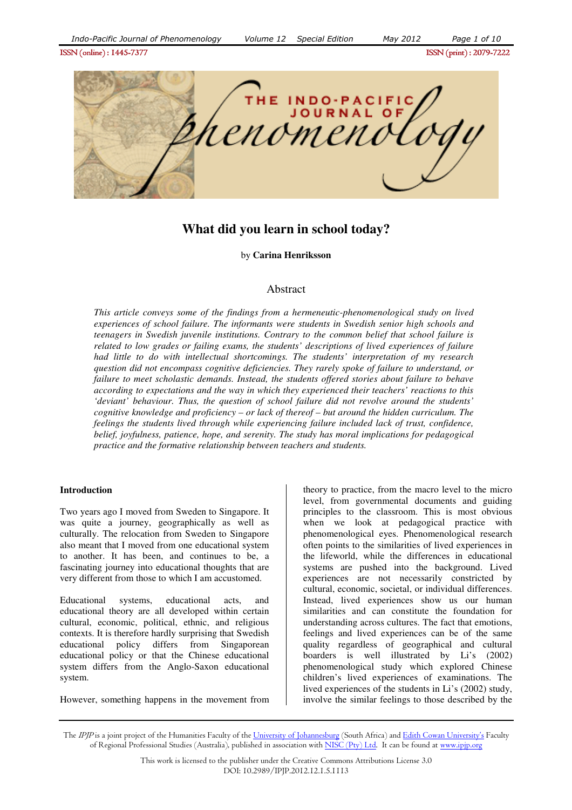ISSN (online) : 1445- ISSN (online) : 1445-7377ISSN (print) : 2079- ISSN 2079-7222



# **What did you learn in school today?**

by **Carina Henriksson**

# Abstract

*This article conveys some of the findings from a hermeneutic-phenomenological study on lived experiences of school failure. The informants were students in Swedish senior high schools and teenagers in Swedish juvenile institutions. Contrary to the common belief that school failure is related to low grades or failing exams, the students' descriptions of lived experiences of failure had little to do with intellectual shortcomings. The students' interpretation of my research question did not encompass cognitive deficiencies. They rarely spoke of failure to understand, or*  failure to meet scholastic demands. Instead, the students offered stories about failure to behave *according to expectations and the way in which they experienced their teachers' reactions to this 'deviant' behaviour. Thus, the question of school failure did not revolve around the students' cognitive knowledge and proficiency – or lack of thereof – but around the hidden curriculum. The feelings the students lived through while experiencing failure included lack of trust, confidence, belief, joyfulness, patience, hope, and serenity. The study has moral implications for pedagogical practice and the formative relationship between teachers and students.* 

#### **Introduction**

Two years ago I moved from Sweden to Singapore. It was quite a journey, geographically as well as culturally. The relocation from Sweden to Singapore also meant that I moved from one educational system to another. It has been, and continues to be, a fascinating journey into educational thoughts that are very different from those to which I am accustomed.

Educational systems, educational acts, and educational theory are all developed within certain cultural, economic, political, ethnic, and religious contexts. It is therefore hardly surprising that Swedish educational policy differs from Singaporean educational policy or that the Chinese educational system differs from the Anglo-Saxon educational system.

However, something happens in the movement from

theory to practice, from the macro level to the micro level, from governmental documents and guiding principles to the classroom. This is most obvious when we look at pedagogical practice with phenomenological eyes. Phenomenological research often points to the similarities of lived experiences in the lifeworld, while the differences in educational systems are pushed into the background. Lived experiences are not necessarily constricted by cultural, economic, societal, or individual differences. Instead, lived experiences show us our human similarities and can constitute the foundation for understanding across cultures. The fact that emotions, feelings and lived experiences can be of the same quality regardless of geographical and cultural boarders is well illustrated by Li's (2002) phenomenological study which explored Chinese children's lived experiences of examinations. The lived experiences of the students in Li's (2002) study, involve the similar feelings to those described by the

The IPJP is a joint project of the Humanities Faculty of the University of Johannesburg (South Africa) and Edith Cowan University's Faculty of Regional Professional Studies (Australia), published in association with NISC (Pty) Ltd. It can be found at www.ipjp.org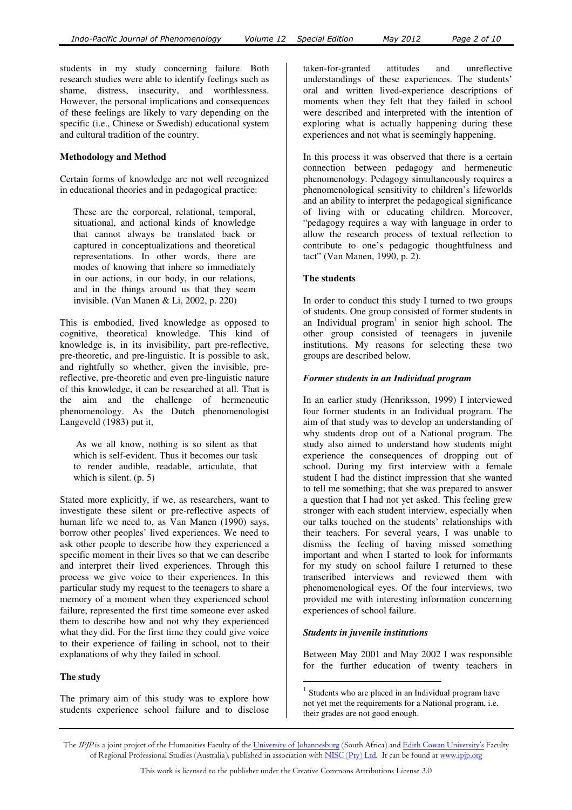students in my study concerning failure. Both research studies were able to identify feelings such as shame, distress, insecurity, and worthlessness. However, the personal implications and consequences of these feelings are likely to vary depending on the specific (i.e., Chinese or Swedish) educational system and cultural tradition of the country.

# **Methodology and Method**

Certain forms of knowledge are not well recognized in educational theories and in pedagogical practice:

These are the corporeal, relational, temporal, situational, and actional kinds of knowledge that cannot always be translated back or captured in conceptualizations and theoretical representations. In other words, there are modes of knowing that inhere so immediately in our actions, in our body, in our relations, and in the things around us that they seem invisible. (Van Manen & Li, 2002, p. 220)

This is embodied, lived knowledge as opposed to cognitive, theoretical knowledge. This kind of knowledge is, in its invisibility, part pre-reflective, pre-theoretic, and pre-linguistic. It is possible to ask, and rightfully so whether, given the invisible, prereflective, pre-theoretic and even pre-linguistic nature of this knowledge, it can be researched at all. That is the aim and the challenge of hermeneutic phenomenology. As the Dutch phenomenologist Langeveld (1983) put it,

 As we all know, nothing is so silent as that which is self-evident. Thus it becomes our task to render audible, readable, articulate, that which is silent. (p. 5)

Stated more explicitly, if we, as researchers, want to investigate these silent or pre-reflective aspects of human life we need to, as Van Manen (1990) says, borrow other peoples' lived experiences. We need to ask other people to describe how they experienced a specific moment in their lives so that we can describe and interpret their lived experiences. Through this process we give voice to their experiences. In this particular study my request to the teenagers to share a memory of a moment when they experienced school failure, represented the first time someone ever asked them to describe how and not why they experienced what they did. For the first time they could give voice to their experience of failing in school, not to their explanations of why they failed in school.

# **The study**

The primary aim of this study was to explore how students experience school failure and to disclose taken-for-granted attitudes and unreflective understandings of these experiences. The students' oral and written lived-experience descriptions of moments when they felt that they failed in school were described and interpreted with the intention of exploring what is actually happening during these experiences and not what is seemingly happening.

In this process it was observed that there is a certain connection between pedagogy and hermeneutic phenomenology. Pedagogy simultaneously requires a phenomenological sensitivity to children's lifeworlds and an ability to interpret the pedagogical significance of living with or educating children. Moreover, "pedagogy requires a way with language in order to allow the research process of textual reflection to contribute to one's pedagogic thoughtfulness and tact" (Van Manen, 1990, p. 2).

# **The students**

In order to conduct this study I turned to two groups of students. One group consisted of former students in an Individual program<sup>1</sup> in senior high school. The other group consisted of teenagers in juvenile institutions. My reasons for selecting these two groups are described below.

# *Former students in an Individual program*

In an earlier study (Henriksson, 1999) I interviewed four former students in an Individual program. The aim of that study was to develop an understanding of why students drop out of a National program. The study also aimed to understand how students might experience the consequences of dropping out of school. During my first interview with a female student I had the distinct impression that she wanted to tell me something; that she was prepared to answer a question that I had not yet asked. This feeling grew stronger with each student interview, especially when our talks touched on the students' relationships with their teachers. For several years, I was unable to dismiss the feeling of having missed something important and when I started to look for informants for my study on school failure I returned to these transcribed interviews and reviewed them with phenomenological eyes. Of the four interviews, two provided me with interesting information concerning experiences of school failure.

# *Students in juvenile institutions*

Between May 2001 and May 2002 I was responsible for the further education of twenty teachers in

 $\overline{a}$ 

<sup>&</sup>lt;sup>1</sup> Students who are placed in an Individual program have not yet met the requirements for a National program, i.e. their grades are not good enough.

The IPJP is a joint project of the Humanities Faculty of the University of Johannesburg (South Africa) and Edith Cowan University's Faculty of Regional Professional Studies (Australia), published in association with NISC (Pty) Ltd. It can be found at www.ipjp.org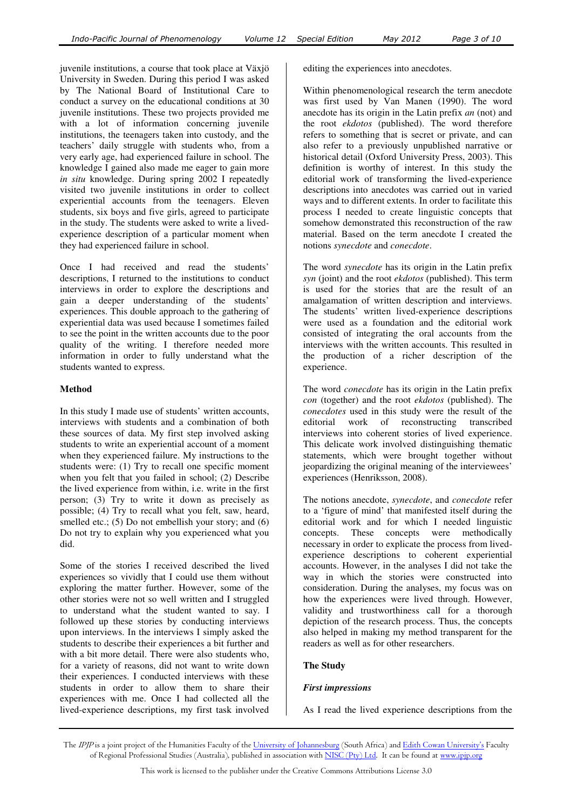juvenile institutions, a course that took place at Växjö University in Sweden. During this period I was asked by The National Board of Institutional Care to conduct a survey on the educational conditions at 30 juvenile institutions. These two projects provided me with a lot of information concerning juvenile institutions, the teenagers taken into custody, and the teachers' daily struggle with students who, from a very early age, had experienced failure in school. The knowledge I gained also made me eager to gain more *in situ* knowledge. During spring 2002 I repeatedly visited two juvenile institutions in order to collect experiential accounts from the teenagers. Eleven students, six boys and five girls, agreed to participate in the study. The students were asked to write a livedexperience description of a particular moment when they had experienced failure in school.

Once I had received and read the students' descriptions, I returned to the institutions to conduct interviews in order to explore the descriptions and gain a deeper understanding of the students' experiences. This double approach to the gathering of experiential data was used because I sometimes failed to see the point in the written accounts due to the poor quality of the writing. I therefore needed more information in order to fully understand what the students wanted to express.

#### **Method**

In this study I made use of students' written accounts, interviews with students and a combination of both these sources of data. My first step involved asking students to write an experiential account of a moment when they experienced failure. My instructions to the students were: (1) Try to recall one specific moment when you felt that you failed in school; (2) Describe the lived experience from within, i.e. write in the first person; (3) Try to write it down as precisely as possible; (4) Try to recall what you felt, saw, heard, smelled etc.; (5) Do not embellish your story; and (6) Do not try to explain why you experienced what you did.

Some of the stories I received described the lived experiences so vividly that I could use them without exploring the matter further. However, some of the other stories were not so well written and I struggled to understand what the student wanted to say. I followed up these stories by conducting interviews upon interviews. In the interviews I simply asked the students to describe their experiences a bit further and with a bit more detail. There were also students who, for a variety of reasons, did not want to write down their experiences. I conducted interviews with these students in order to allow them to share their experiences with me. Once I had collected all the lived-experience descriptions, my first task involved

editing the experiences into anecdotes.

Within phenomenological research the term anecdote was first used by Van Manen (1990). The word anecdote has its origin in the Latin prefix *an* (not) and the root *ekdotos* (published). The word therefore refers to something that is secret or private, and can also refer to a previously unpublished narrative or historical detail (Oxford University Press, 2003). This definition is worthy of interest. In this study the editorial work of transforming the lived-experience descriptions into anecdotes was carried out in varied ways and to different extents. In order to facilitate this process I needed to create linguistic concepts that somehow demonstrated this reconstruction of the raw material. Based on the term anecdote I created the notions *synecdote* and *conecdote*.

The word *synecdote* has its origin in the Latin prefix *syn* (joint) and the root *ekdotos* (published). This term is used for the stories that are the result of an amalgamation of written description and interviews. The students' written lived-experience descriptions were used as a foundation and the editorial work consisted of integrating the oral accounts from the interviews with the written accounts. This resulted in the production of a richer description of the experience.

The word *conecdote* has its origin in the Latin prefix *con* (together) and the root *ekdotos* (published). The *conecdotes* used in this study were the result of the editorial work of reconstructing transcribed interviews into coherent stories of lived experience. This delicate work involved distinguishing thematic statements, which were brought together without jeopardizing the original meaning of the interviewees' experiences (Henriksson, 2008).

The notions anecdote, *synecdote*, and *conecdote* refer to a 'figure of mind' that manifested itself during the editorial work and for which I needed linguistic concepts. These concepts were methodically necessary in order to explicate the process from livedexperience descriptions to coherent experiential accounts. However, in the analyses I did not take the way in which the stories were constructed into consideration. During the analyses, my focus was on how the experiences were lived through. However, validity and trustworthiness call for a thorough depiction of the research process. Thus, the concepts also helped in making my method transparent for the readers as well as for other researchers.

# **The Study**

#### *First impressions*

As I read the lived experience descriptions from the

The *IPJP* is a joint project of the Humanities Faculty of the <u>University of Johannesburg</u> (South Africa) and <u>Edith Cowan University's</u> Faculty of Regional Professional Studies (Australia), published in association with <u>NISC (Pty) Ltd</u>. It can be found at <u>www.ipjp.org</u>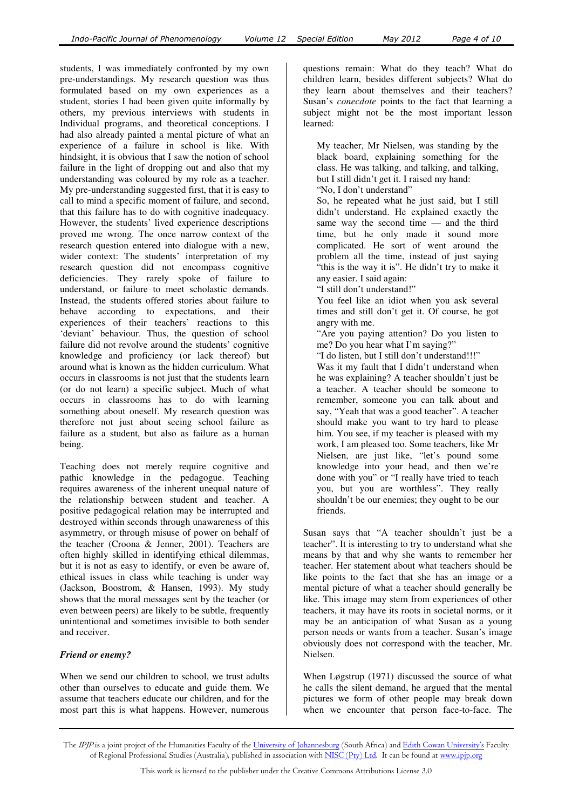students, I was immediately confronted by my own pre-understandings. My research question was thus formulated based on my own experiences as a student, stories I had been given quite informally by others, my previous interviews with students in Individual programs, and theoretical conceptions. I had also already painted a mental picture of what an experience of a failure in school is like. With hindsight, it is obvious that I saw the notion of school failure in the light of dropping out and also that my understanding was coloured by my role as a teacher. My pre-understanding suggested first, that it is easy to call to mind a specific moment of failure, and second, that this failure has to do with cognitive inadequacy. However, the students' lived experience descriptions proved me wrong. The once narrow context of the research question entered into dialogue with a new, wider context: The students' interpretation of my research question did not encompass cognitive deficiencies. They rarely spoke of failure to understand, or failure to meet scholastic demands. Instead, the students offered stories about failure to behave according to expectations, and their experiences of their teachers' reactions to this 'deviant' behaviour. Thus, the question of school failure did not revolve around the students' cognitive knowledge and proficiency (or lack thereof) but around what is known as the hidden curriculum. What occurs in classrooms is not just that the students learn (or do not learn) a specific subject. Much of what occurs in classrooms has to do with learning something about oneself. My research question was therefore not just about seeing school failure as failure as a student, but also as failure as a human being.

Teaching does not merely require cognitive and pathic knowledge in the pedagogue. Teaching requires awareness of the inherent unequal nature of the relationship between student and teacher. A positive pedagogical relation may be interrupted and destroyed within seconds through unawareness of this asymmetry, or through misuse of power on behalf of the teacher (Croona & Jenner, 2001). Teachers are often highly skilled in identifying ethical dilemmas, but it is not as easy to identify, or even be aware of, ethical issues in class while teaching is under way (Jackson, Boostrom, & Hansen, 1993). My study shows that the moral messages sent by the teacher (or even between peers) are likely to be subtle, frequently unintentional and sometimes invisible to both sender and receiver.

# *Friend or enemy?*

When we send our children to school, we trust adults other than ourselves to educate and guide them. We assume that teachers educate our children, and for the most part this is what happens. However, numerous

questions remain: What do they teach? What do children learn, besides different subjects? What do they learn about themselves and their teachers? Susan's *conecdote* points to the fact that learning a subject might not be the most important lesson learned:

My teacher, Mr Nielsen, was standing by the black board, explaining something for the class. He was talking, and talking, and talking, but I still didn't get it. I raised my hand: "No, I don't understand"

So, he repeated what he just said, but I still didn't understand. He explained exactly the same way the second time — and the third time, but he only made it sound more complicated. He sort of went around the problem all the time, instead of just saying "this is the way it is". He didn't try to make it

any easier. I said again: "I still don't understand!"

You feel like an idiot when you ask several times and still don't get it. Of course, he got angry with me.

"Are you paying attention? Do you listen to me? Do you hear what I'm saying?"

"I do listen, but I still don't understand!!!"

Was it my fault that I didn't understand when he was explaining? A teacher shouldn't just be a teacher. A teacher should be someone to remember, someone you can talk about and say, "Yeah that was a good teacher". A teacher should make you want to try hard to please him. You see, if my teacher is pleased with my work, I am pleased too. Some teachers, like Mr Nielsen, are just like, "let's pound some knowledge into your head, and then we're done with you" or "I really have tried to teach you, but you are worthless". They really shouldn't be our enemies; they ought to be our friends.

Susan says that "A teacher shouldn't just be a teacher". It is interesting to try to understand what she means by that and why she wants to remember her teacher. Her statement about what teachers should be like points to the fact that she has an image or a mental picture of what a teacher should generally be like. This image may stem from experiences of other teachers, it may have its roots in societal norms, or it may be an anticipation of what Susan as a young person needs or wants from a teacher. Susan's image obviously does not correspond with the teacher, Mr. Nielsen.

When Løgstrup (1971) discussed the source of what he calls the silent demand, he argued that the mental pictures we form of other people may break down when we encounter that person face-to-face. The

The IPJP is a joint project of the Humanities Faculty of the University of Johannesburg (South Africa) and Edith Cowan University's Faculty of Regional Professional Studies (Australia), published in association with NISC (Pty) Ltd. It can be found at www.ipjp.org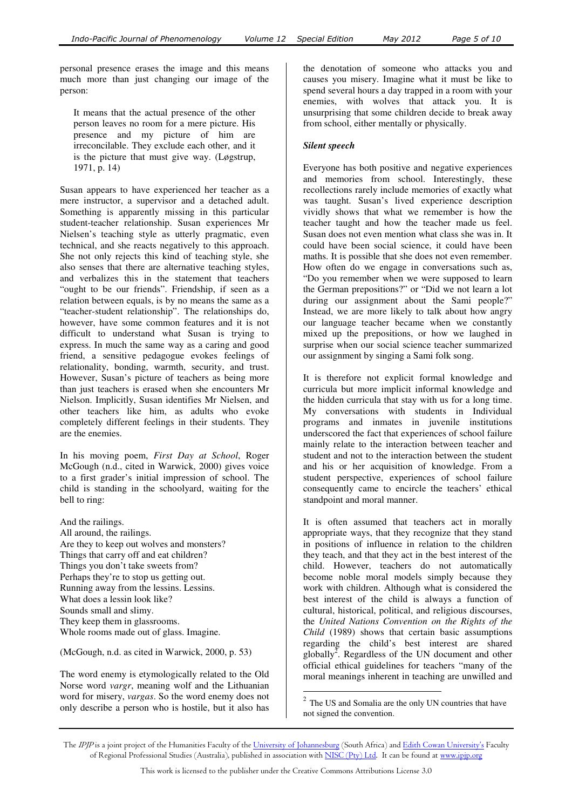personal presence erases the image and this means much more than just changing our image of the person:

It means that the actual presence of the other person leaves no room for a mere picture. His presence and my picture of him are irreconcilable. They exclude each other, and it is the picture that must give way. (Løgstrup, 1971, p. 14)

Susan appears to have experienced her teacher as a mere instructor, a supervisor and a detached adult. Something is apparently missing in this particular student-teacher relationship. Susan experiences Mr Nielsen's teaching style as utterly pragmatic, even technical, and she reacts negatively to this approach. She not only rejects this kind of teaching style, she also senses that there are alternative teaching styles, and verbalizes this in the statement that teachers "ought to be our friends". Friendship, if seen as a relation between equals, is by no means the same as a "teacher-student relationship". The relationships do, however, have some common features and it is not difficult to understand what Susan is trying to express. In much the same way as a caring and good friend, a sensitive pedagogue evokes feelings of relationality, bonding, warmth, security, and trust. However, Susan's picture of teachers as being more than just teachers is erased when she encounters Mr Nielson. Implicitly, Susan identifies Mr Nielsen, and other teachers like him, as adults who evoke completely different feelings in their students. They are the enemies.

In his moving poem, *First Day at School*, Roger McGough (n.d., cited in Warwick, 2000) gives voice to a first grader's initial impression of school. The child is standing in the schoolyard, waiting for the bell to ring:

And the railings.

 All around, the railings. Are they to keep out wolves and monsters? Things that carry off and eat children? Things you don't take sweets from? Perhaps they're to stop us getting out. Running away from the lessins. Lessins. What does a lessin look like? Sounds small and slimy. They keep them in glassrooms. Whole rooms made out of glass. Imagine.

(McGough, n.d. as cited in Warwick, 2000, p. 53)

The word enemy is etymologically related to the Old Norse word *vargr*, meaning wolf and the Lithuanian word for misery, *vargas*. So the word enemy does not only describe a person who is hostile, but it also has

the denotation of someone who attacks you and causes you misery. Imagine what it must be like to spend several hours a day trapped in a room with your enemies, with wolves that attack you. It is unsurprising that some children decide to break away from school, either mentally or physically.

#### *Silent speech*

Everyone has both positive and negative experiences and memories from school. Interestingly, these recollections rarely include memories of exactly what was taught. Susan's lived experience description vividly shows that what we remember is how the teacher taught and how the teacher made us feel. Susan does not even mention what class she was in. It could have been social science, it could have been maths. It is possible that she does not even remember. How often do we engage in conversations such as, "Do you remember when we were supposed to learn the German prepositions?" or "Did we not learn a lot during our assignment about the Sami people?" Instead, we are more likely to talk about how angry our language teacher became when we constantly mixed up the prepositions, or how we laughed in surprise when our social science teacher summarized our assignment by singing a Sami folk song.

It is therefore not explicit formal knowledge and curricula but more implicit informal knowledge and the hidden curricula that stay with us for a long time. My conversations with students in Individual programs and inmates in juvenile institutions underscored the fact that experiences of school failure mainly relate to the interaction between teacher and student and not to the interaction between the student and his or her acquisition of knowledge. From a student perspective, experiences of school failure consequently came to encircle the teachers' ethical standpoint and moral manner.

It is often assumed that teachers act in morally appropriate ways, that they recognize that they stand in positions of influence in relation to the children they teach, and that they act in the best interest of the child. However, teachers do not automatically become noble moral models simply because they work with children. Although what is considered the best interest of the child is always a function of cultural, historical, political, and religious discourses, the *United Nations Convention on the Rights of the Child* (1989) shows that certain basic assumptions regarding the child's best interest are shared globally<sup>2</sup>. Regardless of the UN document and other official ethical guidelines for teachers "many of the moral meanings inherent in teaching are unwilled and

<sup>&</sup>lt;sup>2</sup> The US and Somalia are the only UN countries that have not signed the convention.

The *IPJP* is a joint project of the Humanities Faculty of the <u>University of Johannesburg</u> (South Africa) and <u>Edith Cowan University's</u> Faculty of Regional Professional Studies (Australia), published in association with <u>NISC (Pty) Ltd</u>. It can be found at <u>www.ipjp.org</u>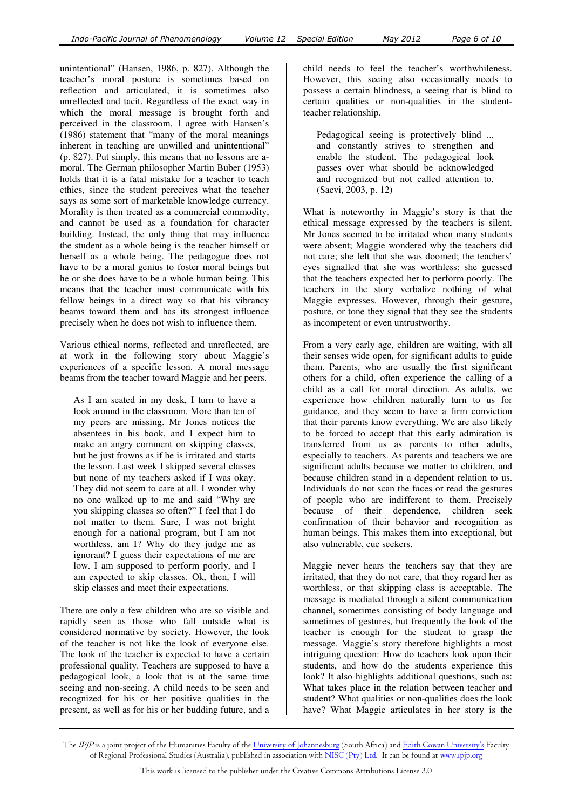unintentional" (Hansen, 1986, p. 827). Although the teacher's moral posture is sometimes based on reflection and articulated, it is sometimes also unreflected and tacit. Regardless of the exact way in which the moral message is brought forth and perceived in the classroom, I agree with Hansen's (1986) statement that "many of the moral meanings inherent in teaching are unwilled and unintentional" (p. 827). Put simply, this means that no lessons are amoral. The German philosopher Martin Buber (1953) holds that it is a fatal mistake for a teacher to teach ethics, since the student perceives what the teacher says as some sort of marketable knowledge currency. Morality is then treated as a commercial commodity, and cannot be used as a foundation for character building. Instead, the only thing that may influence the student as a whole being is the teacher himself or herself as a whole being. The pedagogue does not have to be a moral genius to foster moral beings but he or she does have to be a whole human being. This means that the teacher must communicate with his fellow beings in a direct way so that his vibrancy beams toward them and has its strongest influence precisely when he does not wish to influence them.

Various ethical norms, reflected and unreflected, are at work in the following story about Maggie's experiences of a specific lesson. A moral message beams from the teacher toward Maggie and her peers.

As I am seated in my desk, I turn to have a look around in the classroom. More than ten of my peers are missing. Mr Jones notices the absentees in his book, and I expect him to make an angry comment on skipping classes, but he just frowns as if he is irritated and starts the lesson. Last week I skipped several classes but none of my teachers asked if I was okay. They did not seem to care at all. I wonder why no one walked up to me and said "Why are you skipping classes so often?" I feel that I do not matter to them. Sure, I was not bright enough for a national program, but I am not worthless, am I? Why do they judge me as ignorant? I guess their expectations of me are low. I am supposed to perform poorly, and I am expected to skip classes. Ok, then, I will skip classes and meet their expectations.

There are only a few children who are so visible and rapidly seen as those who fall outside what is considered normative by society. However, the look of the teacher is not like the look of everyone else. The look of the teacher is expected to have a certain professional quality. Teachers are supposed to have a pedagogical look, a look that is at the same time seeing and non-seeing. A child needs to be seen and recognized for his or her positive qualities in the present, as well as for his or her budding future, and a

child needs to feel the teacher's worthwhileness. However, this seeing also occasionally needs to possess a certain blindness, a seeing that is blind to certain qualities or non-qualities in the studentteacher relationship.

Pedagogical seeing is protectively blind ... and constantly strives to strengthen and enable the student. The pedagogical look passes over what should be acknowledged and recognized but not called attention to. (Saevi, 2003, p. 12)

What is noteworthy in Maggie's story is that the ethical message expressed by the teachers is silent. Mr Jones seemed to be irritated when many students were absent; Maggie wondered why the teachers did not care; she felt that she was doomed; the teachers' eyes signalled that she was worthless; she guessed that the teachers expected her to perform poorly. The teachers in the story verbalize nothing of what Maggie expresses. However, through their gesture, posture, or tone they signal that they see the students as incompetent or even untrustworthy.

From a very early age, children are waiting, with all their senses wide open, for significant adults to guide them. Parents, who are usually the first significant others for a child, often experience the calling of a child as a call for moral direction. As adults, we experience how children naturally turn to us for guidance, and they seem to have a firm conviction that their parents know everything. We are also likely to be forced to accept that this early admiration is transferred from us as parents to other adults, especially to teachers. As parents and teachers we are significant adults because we matter to children, and because children stand in a dependent relation to us. Individuals do not scan the faces or read the gestures of people who are indifferent to them. Precisely because of their dependence, children seek confirmation of their behavior and recognition as human beings. This makes them into exceptional, but also vulnerable, cue seekers.

Maggie never hears the teachers say that they are irritated, that they do not care, that they regard her as worthless, or that skipping class is acceptable. The message is mediated through a silent communication channel, sometimes consisting of body language and sometimes of gestures, but frequently the look of the teacher is enough for the student to grasp the message. Maggie's story therefore highlights a most intriguing question: How do teachers look upon their students, and how do the students experience this look? It also highlights additional questions, such as: What takes place in the relation between teacher and student? What qualities or non-qualities does the look have? What Maggie articulates in her story is the

The *IPJP* is a joint project of the Humanities Faculty of the <u>University of Johannesburg</u> (South Africa) and <u>Edith Cowan University's</u> Faculty of Regional Professional Studies (Australia), published in association with <u>NISC (Pty) Ltd</u>. It can be found at <u>www.ipjp.org</u>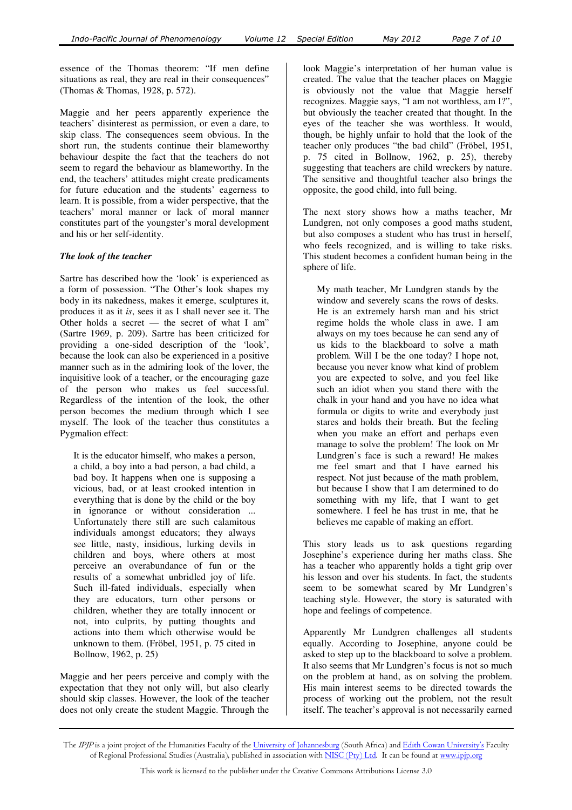essence of the Thomas theorem: "If men define situations as real, they are real in their consequences" (Thomas & Thomas, 1928, p. 572).

Maggie and her peers apparently experience the teachers' disinterest as permission, or even a dare, to skip class. The consequences seem obvious. In the short run, the students continue their blameworthy behaviour despite the fact that the teachers do not seem to regard the behaviour as blameworthy. In the end, the teachers' attitudes might create predicaments for future education and the students' eagerness to learn. It is possible, from a wider perspective, that the teachers' moral manner or lack of moral manner constitutes part of the youngster's moral development and his or her self-identity.

#### *The look of the teacher*

Sartre has described how the 'look' is experienced as a form of possession. "The Other's look shapes my body in its nakedness, makes it emerge, sculptures it, produces it as it *is*, sees it as I shall never see it. The Other holds a secret — the secret of what I am" (Sartre 1969, p. 209). Sartre has been criticized for providing a one-sided description of the 'look', because the look can also be experienced in a positive manner such as in the admiring look of the lover, the inquisitive look of a teacher, or the encouraging gaze of the person who makes us feel successful. Regardless of the intention of the look, the other person becomes the medium through which I see myself. The look of the teacher thus constitutes a Pygmalion effect:

It is the educator himself, who makes a person, a child, a boy into a bad person, a bad child, a bad boy. It happens when one is supposing a vicious, bad, or at least crooked intention in everything that is done by the child or the boy in ignorance or without consideration ... Unfortunately there still are such calamitous individuals amongst educators; they always see little, nasty, insidious, lurking devils in children and boys, where others at most perceive an overabundance of fun or the results of a somewhat unbridled joy of life. Such ill-fated individuals, especially when they are educators, turn other persons or children, whether they are totally innocent or not, into culprits, by putting thoughts and actions into them which otherwise would be unknown to them. (Fröbel, 1951, p. 75 cited in Bollnow, 1962, p. 25)

Maggie and her peers perceive and comply with the expectation that they not only will, but also clearly should skip classes. However, the look of the teacher does not only create the student Maggie. Through the

look Maggie's interpretation of her human value is created. The value that the teacher places on Maggie is obviously not the value that Maggie herself recognizes. Maggie says, "I am not worthless, am I?", but obviously the teacher created that thought. In the eyes of the teacher she was worthless. It would, though, be highly unfair to hold that the look of the teacher only produces "the bad child" (Fröbel, 1951, p. 75 cited in Bollnow, 1962, p. 25), thereby suggesting that teachers are child wreckers by nature. The sensitive and thoughtful teacher also brings the opposite, the good child, into full being.

The next story shows how a maths teacher, Mr Lundgren, not only composes a good maths student, but also composes a student who has trust in herself, who feels recognized, and is willing to take risks. This student becomes a confident human being in the sphere of life.

My math teacher, Mr Lundgren stands by the window and severely scans the rows of desks. He is an extremely harsh man and his strict regime holds the whole class in awe. I am always on my toes because he can send any of us kids to the blackboard to solve a math problem. Will I be the one today? I hope not, because you never know what kind of problem you are expected to solve, and you feel like such an idiot when you stand there with the chalk in your hand and you have no idea what formula or digits to write and everybody just stares and holds their breath. But the feeling when you make an effort and perhaps even manage to solve the problem! The look on Mr Lundgren's face is such a reward! He makes me feel smart and that I have earned his respect. Not just because of the math problem, but because I show that I am determined to do something with my life, that I want to get somewhere. I feel he has trust in me, that he believes me capable of making an effort.

This story leads us to ask questions regarding Josephine's experience during her maths class. She has a teacher who apparently holds a tight grip over his lesson and over his students. In fact, the students seem to be somewhat scared by Mr Lundgren's teaching style. However, the story is saturated with hope and feelings of competence.

Apparently Mr Lundgren challenges all students equally. According to Josephine, anyone could be asked to step up to the blackboard to solve a problem. It also seems that Mr Lundgren's focus is not so much on the problem at hand, as on solving the problem. His main interest seems to be directed towards the process of working out the problem, not the result itself. The teacher's approval is not necessarily earned

The IPJP is a joint project of the Humanities Faculty of the University of Johannesburg (South Africa) and Edith Cowan University's Faculty of Regional Professional Studies (Australia), published in association with NISC (Pty) Ltd. It can be found at www.ipjp.org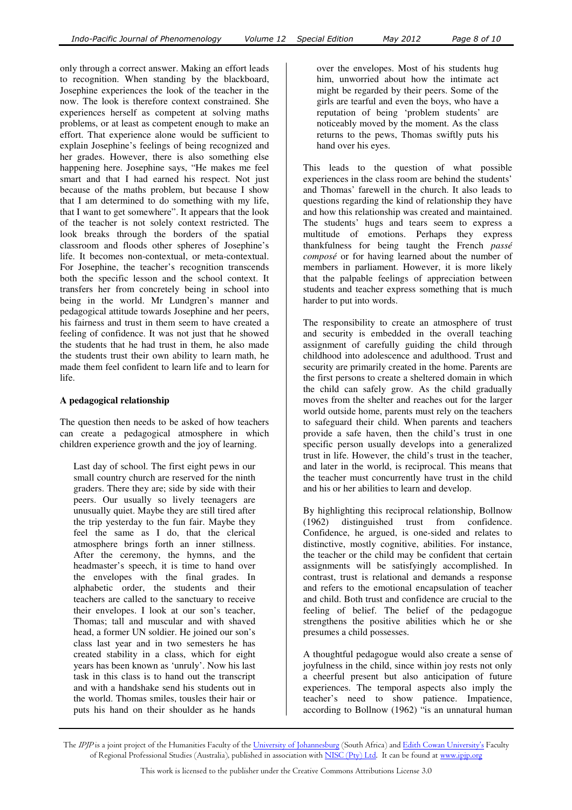only through a correct answer. Making an effort leads to recognition. When standing by the blackboard, Josephine experiences the look of the teacher in the now. The look is therefore context constrained. She experiences herself as competent at solving maths problems, or at least as competent enough to make an effort. That experience alone would be sufficient to explain Josephine's feelings of being recognized and her grades. However, there is also something else happening here. Josephine says, "He makes me feel smart and that I had earned his respect. Not just because of the maths problem, but because I show that I am determined to do something with my life, that I want to get somewhere". It appears that the look of the teacher is not solely context restricted. The look breaks through the borders of the spatial classroom and floods other spheres of Josephine's life. It becomes non-contextual, or meta-contextual. For Josephine, the teacher's recognition transcends both the specific lesson and the school context. It transfers her from concretely being in school into being in the world. Mr Lundgren's manner and pedagogical attitude towards Josephine and her peers, his fairness and trust in them seem to have created a feeling of confidence. It was not just that he showed the students that he had trust in them, he also made the students trust their own ability to learn math, he made them feel confident to learn life and to learn for life.

# **A pedagogical relationship**

The question then needs to be asked of how teachers can create a pedagogical atmosphere in which children experience growth and the joy of learning.

Last day of school. The first eight pews in our small country church are reserved for the ninth graders. There they are; side by side with their peers. Our usually so lively teenagers are unusually quiet. Maybe they are still tired after the trip yesterday to the fun fair. Maybe they feel the same as I do, that the clerical atmosphere brings forth an inner stillness. After the ceremony, the hymns, and the headmaster's speech, it is time to hand over the envelopes with the final grades. In alphabetic order, the students and their teachers are called to the sanctuary to receive their envelopes. I look at our son's teacher, Thomas; tall and muscular and with shaved head, a former UN soldier. He joined our son's class last year and in two semesters he has created stability in a class, which for eight years has been known as 'unruly'. Now his last task in this class is to hand out the transcript and with a handshake send his students out in the world. Thomas smiles, tousles their hair or puts his hand on their shoulder as he hands

over the envelopes. Most of his students hug him, unworried about how the intimate act might be regarded by their peers. Some of the girls are tearful and even the boys, who have a reputation of being 'problem students' are noticeably moved by the moment. As the class returns to the pews, Thomas swiftly puts his hand over his eyes.

This leads to the question of what possible experiences in the class room are behind the students' and Thomas' farewell in the church. It also leads to questions regarding the kind of relationship they have and how this relationship was created and maintained. The students' hugs and tears seem to express a multitude of emotions. Perhaps they express thankfulness for being taught the French *passé composé* or for having learned about the number of members in parliament. However, it is more likely that the palpable feelings of appreciation between students and teacher express something that is much harder to put into words.

The responsibility to create an atmosphere of trust and security is embedded in the overall teaching assignment of carefully guiding the child through childhood into adolescence and adulthood. Trust and security are primarily created in the home. Parents are the first persons to create a sheltered domain in which the child can safely grow. As the child gradually moves from the shelter and reaches out for the larger world outside home, parents must rely on the teachers to safeguard their child. When parents and teachers provide a safe haven, then the child's trust in one specific person usually develops into a generalized trust in life. However, the child's trust in the teacher, and later in the world, is reciprocal. This means that the teacher must concurrently have trust in the child and his or her abilities to learn and develop.

By highlighting this reciprocal relationship, Bollnow (1962) distinguished trust from confidence. Confidence, he argued, is one-sided and relates to distinctive, mostly cognitive, abilities. For instance, the teacher or the child may be confident that certain assignments will be satisfyingly accomplished. In contrast, trust is relational and demands a response and refers to the emotional encapsulation of teacher and child. Both trust and confidence are crucial to the feeling of belief. The belief of the pedagogue strengthens the positive abilities which he or she presumes a child possesses.

A thoughtful pedagogue would also create a sense of joyfulness in the child, since within joy rests not only a cheerful present but also anticipation of future experiences. The temporal aspects also imply the teacher's need to show patience. Impatience, according to Bollnow (1962) "is an unnatural human

The IPJP is a joint project of the Humanities Faculty of the University of Johannesburg (South Africa) and Edith Cowan University's Faculty of Regional Professional Studies (Australia), published in association with NISC (Pty) Ltd. It can be found at www.ipjp.org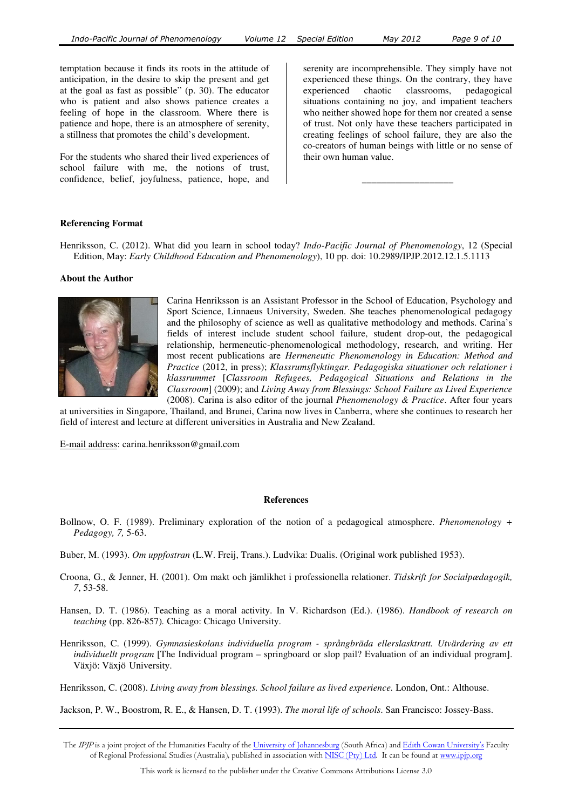temptation because it finds its roots in the attitude of anticipation, in the desire to skip the present and get at the goal as fast as possible" (p. 30). The educator who is patient and also shows patience creates a feeling of hope in the classroom. Where there is patience and hope, there is an atmosphere of serenity, a stillness that promotes the child's development.

For the students who shared their lived experiences of school failure with me, the notions of trust, confidence, belief, joyfulness, patience, hope, and

serenity are incomprehensible. They simply have not experienced these things. On the contrary, they have experienced chaotic classrooms, pedagogical situations containing no joy, and impatient teachers who neither showed hope for them nor created a sense of trust. Not only have these teachers participated in creating feelings of school failure, they are also the co-creators of human beings with little or no sense of their own human value.

\_\_\_\_\_\_\_\_\_\_\_\_\_\_\_\_\_\_\_

#### **Referencing Format**

Henriksson, C. (2012). What did you learn in school today? *Indo-Pacific Journal of Phenomenology*, 12 (Special Edition, May: *Early Childhood Education and Phenomenology*), 10 pp. doi: 10.2989/IPJP.2012.12.1.5.1113

#### **About the Author**



Carina Henriksson is an Assistant Professor in the School of Education, Psychology and Sport Science, Linnaeus University, Sweden. She teaches phenomenological pedagogy and the philosophy of science as well as qualitative methodology and methods. Carina's fields of interest include student school failure, student drop-out, the pedagogical relationship, hermeneutic-phenomenological methodology, research, and writing. Her most recent publications are *Hermeneutic Phenomenology in Education: Method and Practice* (2012, in press); *Klassrumsflyktingar. Pedagogiska situationer och relationer i klassrummet* [*Classroom Refugees, Pedagogical Situations and Relations in the Classroom*] (2009); and *Living Away from Blessings: School Failure as Lived Experience* (2008). Carina is also editor of the journal *Phenomenology & Practice*. After four years

at universities in Singapore, Thailand, and Brunei, Carina now lives in Canberra, where she continues to research her field of interest and lecture at different universities in Australia and New Zealand.

E-mail address: carina.henriksson@gmail.com

#### **References**

- Bollnow, O. F. (1989). Preliminary exploration of the notion of a pedagogical atmosphere. *Phenomenology + Pedagogy, 7,* 5-63.
- Buber, M. (1993). *Om uppfostran* (L.W. Freij, Trans.). Ludvika: Dualis. (Original work published 1953).
- Croona, G., & Jenner, H. (2001). Om makt och jämlikhet i professionella relationer. *Tidskrift for Socialpædagogik, 7*, 53-58.
- Hansen, D. T. (1986). Teaching as a moral activity. In V. Richardson (Ed.). (1986). *Handbook of research on teaching* (pp. 826-857)*.* Chicago: Chicago University.
- Henriksson, C. (1999). *Gymnasieskolans individuella program språngbräda ellerslasktratt. Utvärdering av ett individuellt program* [The Individual program – springboard or slop pail? Evaluation of an individual program]. Växjö: Växjö University.

Henriksson, C. (2008). *Living away from blessings. School failure as lived experience.* London, Ont.: Althouse.

Jackson, P. W., Boostrom, R. E., & Hansen, D. T. (1993). *The moral life of schools*. San Francisco: Jossey-Bass.

The IPJP is a joint project of the Humanities Faculty of the University of Johannesburg (South Africa) and Edith Cowan University's Faculty of Regional Professional Studies (Australia), published in association with NISC (Pty) Ltd. It can be found at www.ipjp.org